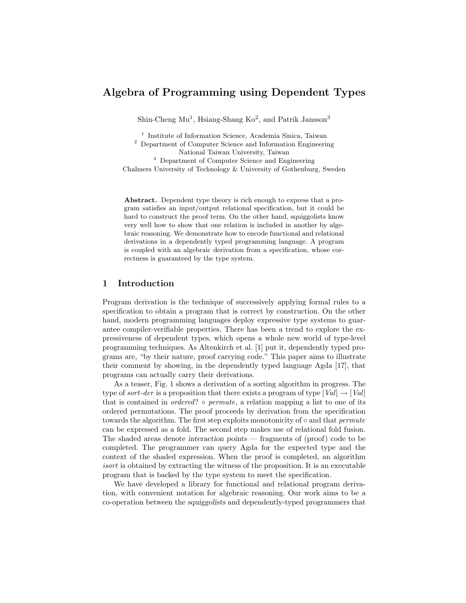# Algebra of Programming using Dependent Types

Shin-Cheng  $\text{Mu}^1$ , Hsiang-Shang  $\text{Ko}^2$ , and Patrik Jansson<sup>3</sup>

<sup>1</sup> Institute of Information Science, Academia Sinica, Taiwan

<sup>2</sup> Department of Computer Science and Information Engineering National Taiwan University, Taiwan

<sup>3</sup> Department of Computer Science and Engineering

Chalmers University of Technology & University of Gothenburg, Sweden

Abstract. Dependent type theory is rich enough to express that a program satisfies an input/output relational specification, but it could be hard to construct the proof term. On the other hand, squiggolists know very well how to show that one relation is included in another by algebraic reasoning. We demonstrate how to encode functional and relational derivations in a dependently typed programming language. A program is coupled with an algebraic derivation from a specification, whose correctness is guaranteed by the type system.

# 1 Introduction

Program derivation is the technique of successively applying formal rules to a specification to obtain a program that is correct by construction. On the other hand, modern programming languages deploy expressive type systems to guarantee compiler-verifiable properties. There has been a trend to explore the expressiveness of dependent types, which opens a whole new world of type-level programming techniques. As Altenkirch et al. [1] put it, dependently typed programs are, "by their nature, proof carrying code." This paper aims to illustrate their comment by showing, in the dependently typed language Agda [17], that programs can actually carry their derivations.

As a teaser, Fig. 1 shows a derivation of a sorting algorithm in progress. The type of sort-der is a proposition that there exists a program of type  $[Val] \rightarrow [Val]$ that is contained in *ordered*?  $\circ$  *permute*, a relation mapping a list to one of its ordered permutations. The proof proceeds by derivation from the specification towards the algorithm. The first step exploits monotonicity of  $\circ$  and that *permute* can be expressed as a fold. The second step makes use of relational fold fusion. The shaded areas denote interaction points — fragments of (proof) code to be completed. The programmer can query Agda for the expected type and the context of the shaded expression. When the proof is completed, an algorithm isort is obtained by extracting the witness of the proposition. It is an executable program that is backed by the type system to meet the specification.

We have developed a library for functional and relational program derivation, with convenient notation for algebraic reasoning. Our work aims to be a co-operation between the squiggolists and dependently-typed programmers that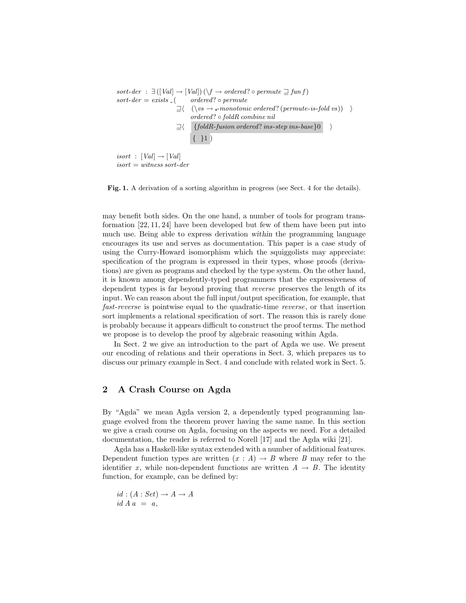sort-der :  $\exists ([Val] \rightarrow [Val]) (\forall f \rightarrow ordered? \circ permute \sqsupseteq fun f)$  $sort-der = exists_{-}$  ( ordered?  $\circ$  permute  $\exists \langle (\forall vs \rightarrow \text{-monotonic ordered? } (permute-is-fold vs) ) \rangle$ ordered? ◦ foldR combine nil  $\exists \langle \quad \{\text{foldR-fusion ordered? ins-step ins-base}\}\rangle$  $\{ \}1)$ 

 $isort$  :  $[Val] \rightarrow [Val]$  $isort = witness sort-der$ 

Fig. 1. A derivation of a sorting algorithm in progress (see Sect. 4 for the details).

may benefit both sides. On the one hand, a number of tools for program transformation [22, 11, 24] have been developed but few of them have been put into much use. Being able to express derivation within the programming language encourages its use and serves as documentation. This paper is a case study of using the Curry-Howard isomorphism which the squiggolists may appreciate: specification of the program is expressed in their types, whose proofs (derivations) are given as programs and checked by the type system. On the other hand, it is known among dependently-typed programmers that the expressiveness of dependent types is far beyond proving that reverse preserves the length of its input. We can reason about the full input/output specification, for example, that fast-reverse is pointwise equal to the quadratic-time reverse, or that insertion sort implements a relational specification of sort. The reason this is rarely done is probably because it appears difficult to construct the proof terms. The method we propose is to develop the proof by algebraic reasoning within Agda.

In Sect. 2 we give an introduction to the part of Agda we use. We present our encoding of relations and their operations in Sect. 3, which prepares us to discuss our primary example in Sect. 4 and conclude with related work in Sect. 5.

# 2 A Crash Course on Agda

By "Agda" we mean Agda version 2, a dependently typed programming language evolved from the theorem prover having the same name. In this section we give a crash course on Agda, focusing on the aspects we need. For a detailed documentation, the reader is referred to Norell [17] and the Agda wiki [21].

Agda has a Haskell-like syntax extended with a number of additional features. Dependent function types are written  $(x : A) \rightarrow B$  where B may refer to the identifier x, while non-dependent functions are written  $A \rightarrow B$ . The identity function, for example, can be defined by:

 $id : (A : Set) \rightarrow A \rightarrow A$  $id A a = a,$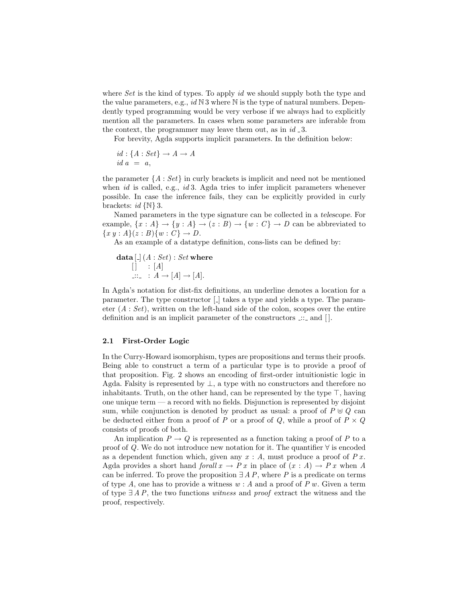where  $Set$  is the kind of types. To apply id we should supply both the type and the value parameters, e.g.,  $id \, \mathbb{N} \, 3$  where  $\mathbb N$  is the type of natural numbers. Dependently typed programming would be very verbose if we always had to explicitly mention all the parameters. In cases when some parameters are inferable from the context, the programmer may leave them out, as in  $id_3$ .

For brevity, Agda supports implicit parameters. In the definition below:

$$
id: \{A: Set\} \to A \to A
$$
  

$$
id a = a,
$$

the parameter  $\{A : Set\}$  in curly brackets is implicit and need not be mentioned when  $id$  is called, e.g.,  $id$  3. Agda tries to infer implicit parameters whenever possible. In case the inference fails, they can be explicitly provided in curly brackets:  $id \{ \mathbb{N} \}$  3.

Named parameters in the type signature can be collected in a telescope. For example,  $\{x : A\} \rightarrow \{y : A\} \rightarrow (z : B) \rightarrow \{w : C\} \rightarrow D$  can be abbreviated to  ${x y : A}(z:B){w : C} \rightarrow D.$ 

As an example of a datatype definition, cons-lists can be defined by:

**data** 
$$
[-](A : Set) : Set
$$
 where  
\n
$$
[]\quad : [A]
$$
\n
$$
\therefore \quad : A \rightarrow [A] \rightarrow [A].
$$

In Agda's notation for dist-fix definitions, an underline denotes a location for a parameter. The type constructor  $\lfloor \cdot \rfloor$  takes a type and yields a type. The parameter  $(A: Set)$ , written on the left-hand side of the colon, scopes over the entire definition and is an implicit parameter of the constructors  $\therefore$  and [].

#### 2.1 First-Order Logic

In the Curry-Howard isomorphism, types are propositions and terms their proofs. Being able to construct a term of a particular type is to provide a proof of that proposition. Fig. 2 shows an encoding of first-order intuitionistic logic in Agda. Falsity is represented by  $\perp$ , a type with no constructors and therefore no inhabitants. Truth, on the other hand, can be represented by the type  $\top$ , having one unique term — a record with no fields. Disjunction is represented by disjoint sum, while conjunction is denoted by product as usual: a proof of  $P \oplus Q$  can be deducted either from a proof of P or a proof of Q, while a proof of  $P \times Q$ consists of proofs of both.

An implication  $P \to Q$  is represented as a function taking a proof of P to a proof of Q. We do not introduce new notation for it. The quantifier  $\forall$  is encoded as a dependent function which, given any  $x : A$ , must produce a proof of  $P x$ . Agda provides a short hand forall  $x \to Px$  in place of  $(x : A) \to Px$  when A can be inferred. To prove the proposition  $\exists A P$ , where P is a predicate on terms of type A, one has to provide a witness  $w : A$  and a proof of P w. Given a term of type  $\exists$  A P, the two functions witness and proof extract the witness and the proof, respectively.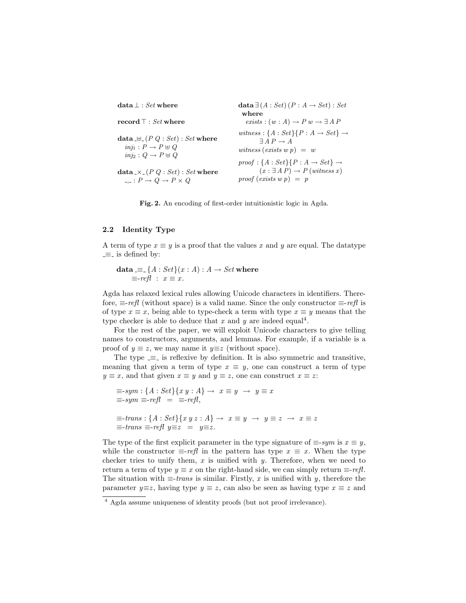| $\textbf{data} \perp : Set \textbf{ where }$                                                              | data $\exists (A : Set) (P : A \rightarrow Set) : Set$<br>where                                                                                                                        |
|-----------------------------------------------------------------------------------------------------------|----------------------------------------------------------------------------------------------------------------------------------------------------------------------------------------|
| $\mathbf{record} \top : Set$ where                                                                        | exists : $(w : A) \rightarrow P w \rightarrow \exists A P$                                                                                                                             |
| data $\biguplus (P Q : Set) : Set$ where<br>$inj_1: P \to P \oplus Q$<br>$inis: Q \rightarrow P \oplus Q$ | witness: $\{A : Set\}\{P : A \rightarrow Set\} \rightarrow$<br>$\exists A \; P \rightarrow A$<br>witness (exists w p) $=$ w<br>$proof: \{A: Set\}\{P: A \rightarrow Set\} \rightarrow$ |
| data $\angle x$ (P Q : Set) : Set where                                                                   | $(x : \exists A P) \rightarrow P$ (witness x)                                                                                                                                          |
| $\Box P \rightarrow Q \rightarrow P \times Q$                                                             | $\text{proof}(\text{exists } w p) = p$                                                                                                                                                 |

Fig. 2. An encoding of first-order intuitionistic logic in Agda.

#### 2.2 Identity Type

A term of type  $x \equiv y$  is a proof that the values x and y are equal. The datatype  $equiv$  is defined by:

 $\mathtt{data} \equiv_\text{-} \{A : \mathit{Set}\}(x : A) : A \rightarrow \mathit{Set}$  where  $\equiv$ -refl :  $x \equiv x$ .

Agda has relaxed lexical rules allowing Unicode characters in identifiers. Therefore,  $\equiv$ -refl (without space) is a valid name. Since the only constructor  $\equiv$ -refl is of type  $x \equiv x$ , being able to type-check a term with type  $x \equiv y$  means that the type checker is able to deduce that x and y are indeed equal<sup>4</sup>.

For the rest of the paper, we will exploit Unicode characters to give telling names to constructors, arguments, and lemmas. For example, if a variable is a proof of  $y \equiv z$ , we may name it  $y \equiv z$  (without space).

The type  $\equiv$  is reflexive by definition. It is also symmetric and transitive, meaning that given a term of type  $x \equiv y$ , one can construct a term of type  $y \equiv x$ , and that given  $x \equiv y$  and  $y \equiv z$ , one can construct  $x \equiv z$ :

```
\equiv-sym:\{A:Set\}\{x\ y:A\} \rightarrow x \equiv y \rightarrow y \equiv x\equiv-sym \equiv-refl = \equiv-refl,
\equiv-trans : {A : Set}{x y z : A} \rightarrow x \equiv y \rightarrow y \equiv z \rightarrow x \equiv z\equiv-trans \equiv-refl y \equiv z = y \equiv z.
```
The type of the first explicit parameter in the type signature of  $\equiv$ -sym is  $x \equiv y$ , while the constructor  $\equiv$ -refl in the pattern has type  $x \equiv x$ . When the type checker tries to unify them,  $x$  is unified with  $y$ . Therefore, when we need to return a term of type  $y \equiv x$  on the right-hand side, we can simply return  $\equiv$ -refl. The situation with  $\equiv -trans$  is similar. Firstly, x is unified with y, therefore the parameter  $y \equiv z$ , having type  $y \equiv z$ , can also be seen as having type  $x \equiv z$  and

<sup>4</sup> Agda assume uniqueness of identity proofs (but not proof irrelevance).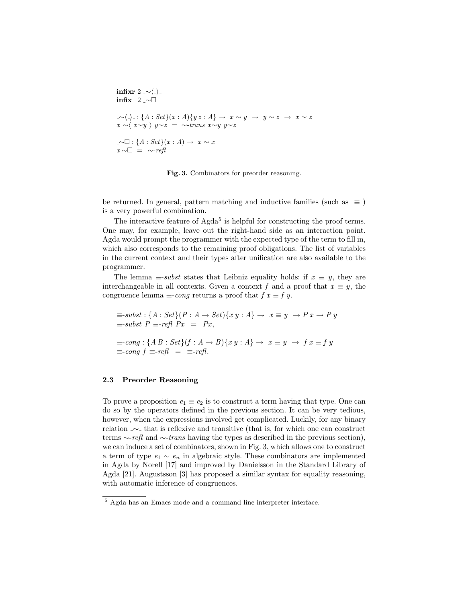$$
\begin{aligned}\n\text{infix } 2 &\sim\langle \cdot \rangle_{-} \\
\text{infix } 2 &\sim\Box \\
\sim\langle \cdot \rangle_{-} : \{A : Set\}(x : A) \{ y z : A \} \to x \sim y \to y \sim z \to x \sim z \\
x &\sim\langle x \sim y \rangle y \sim z &= \sim \text{trans } x \sim y y \sim z \\
\text{and } \quad x \sim \Box_{-} : \{A : Set\}(x : A) \to x \sim x \\
x &\sim\Box_{-} = \sim \text{refl}\n\end{aligned}
$$

Fig. 3. Combinators for preorder reasoning.

be returned. In general, pattern matching and inductive families (such as  $\equiv$ .) is a very powerful combination.

The interactive feature of  $Agda<sup>5</sup>$  is helpful for constructing the proof terms. One may, for example, leave out the right-hand side as an interaction point. Agda would prompt the programmer with the expected type of the term to fill in, which also corresponds to the remaining proof obligations. The list of variables in the current context and their types after unification are also available to the programmer.

The lemma  $\equiv$ -subst states that Leibniz equality holds: if  $x \equiv y$ , they are interchangeable in all contexts. Given a context f and a proof that  $x \equiv y$ , the congruence lemma  $\equiv$ -cong returns a proof that  $f \equiv f \equiv y$ .

$$
\equiv -subst : \{A : Set\}(P : A \to Set)\{x y : A\} \to x \equiv y \to P x \to P y
$$
  

$$
\equiv -subst P \equiv -refl P x = Px,
$$
  

$$
\equiv -cong : \{AB : Set\}(f : A \to B)\{x y : A\} \to x \equiv y \to fx \equiv f y
$$
  

$$
\equiv -cong f \equiv -refl = \equiv -refl.
$$

# 2.3 Preorder Reasoning

To prove a proposition  $e_1 \equiv e_2$  is to construct a term having that type. One can do so by the operators defined in the previous section. It can be very tedious, however, when the expressions involved get complicated. Luckily, for any binary relation <u>∼</u> that is reflexive and transitive (that is, for which one can construct terms ∼-refl and ∼-trans having the types as described in the previous section), we can induce a set of combinators, shown in Fig. 3, which allows one to construct a term of type  $e_1 \sim e_n$  in algebraic style. These combinators are implemented in Agda by Norell [17] and improved by Danielsson in the Standard Library of Agda [21]. Augustsson [3] has proposed a similar syntax for equality reasoning, with automatic inference of congruences.

<sup>5</sup> Agda has an Emacs mode and a command line interpreter interface.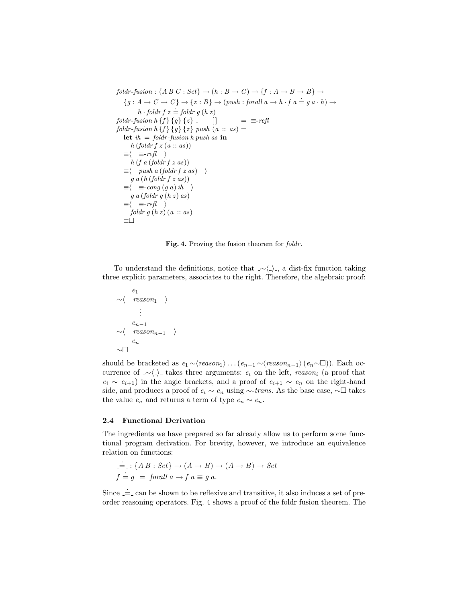$foldr\text{-}fusion: \{A\ B\ C: Set\} \rightarrow (h: B \rightarrow C) \rightarrow \{f: A \rightarrow B \rightarrow B\} \rightarrow$  ${g : A \to C \to C} \rightarrow {z : B} \rightarrow (push : for all a \to h \cdot f a = g a \cdot h) \to$  $h \cdot \text{foldr} f z = \text{foldr} g (h z)$ foldr-fusion h {f} {g} {z} \_ []  $= \equiv \text{refl}$ foldr-fusion h  $\{f\}$   $\{g\}$   $\{z\}$  push  $(a :: as) =$ let  $ih = foldr$ -fusion h push as in  $h (folder f z (a :: as))$  $\equiv \langle \equiv -refl \rangle$  $h(f \, a \, (foldr \, f \, z \, as))$  $\equiv \langle \quad \text{push a (folder } f \text{ z as}) \quad \rangle$  $g \, a \, (h \, (foldr \, f \, z \, as))$  $\equiv \langle \equiv\text{-}cong (g \ a) \ i\hbar \rangle$  $g\ a\ (foldr\ g\ (h\ z)\ as)$  $\equiv \langle \equiv -refl \rangle$  $foldr\ g\ (h\ z)\ (a\ ::\ as)$ ≡

Fig. 4. Proving the fusion theorem for *foldr*.

To understand the definitions, notice that  $\sim\langle\_\rangle$ , a dist-fix function taking three explicit parameters, associates to the right. Therefore, the algebraic proof:

$$
\begin{array}{ccc}\ne_1 & & & \\
\sim & \langle & reason_1 & \rangle \\
& & \vdots & \\
& & e_{n-1} & \\
\sim & \langle & reason_{n-1} & \rangle \\
& & e_n & \\
\sim & \square & & \n\end{array}
$$

should be bracketed as  $e_1 \sim \langle reason_1 \rangle \ldots (e_{n-1} \sim \langle reason_{n-1} \rangle (e_n \sim \square)).$  Each occurrence of ∠ $\langle \rangle$  takes three arguments:  $e_i$  on the left, reason<sub>i</sub> (a proof that  $e_i \sim e_{i+1}$ ) in the angle brackets, and a proof of  $e_{i+1} \sim e_n$  on the right-hand side, and produces a proof of  $e_i \sim e_n$  using ∼-trans. As the base case, ∼□ takes the value  $e_n$  and returns a term of type  $e_n \sim e_n$ .

#### 2.4 Functional Derivation

The ingredients we have prepared so far already allow us to perform some functional program derivation. For brevity, however, we introduce an equivalence relation on functions:

$$
\doteq: \{A B : Set\} \to (A \to B) \to (A \to B) \to Set
$$
  

$$
f = g = \text{for all } a \to f a \equiv g a.
$$

Since  $=$  can be shown to be reflexive and transitive, it also induces a set of preorder reasoning operators. Fig. 4 shows a proof of the foldr fusion theorem. The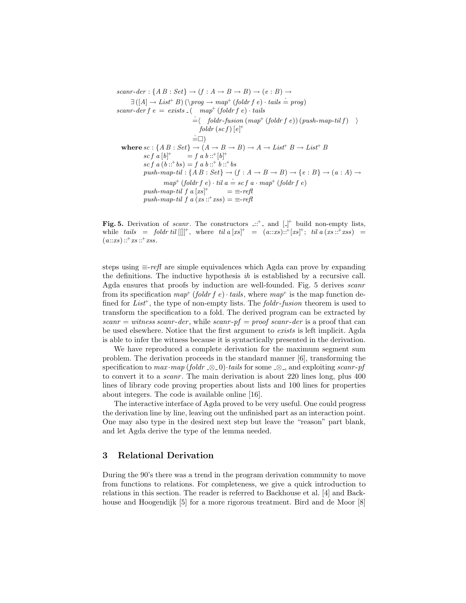scanr-der : { $A B : Set$ }  $\rightarrow (f : A \rightarrow B \rightarrow B) \rightarrow (e : B) \rightarrow$  $\exists (A \rightarrow List^{+} B) (\propto \rightarrow map^{+} (foldr f e) \cdot tails = prog)$ scanr-der  $f e = exists_{-}$  ( map<sup>+</sup> (foldr  $f e$ ) · tails  $\dot{=} \langle$  foldr-fusion  $(map^+(foldr\ f\ e))$  (push-map-til f)  $\rangle$  $foldr (sc f)$   $\lbrack e \rbrack^+$  $\dot{=}$  $\Box$ ) where  $sc : \{AB : Set\} \rightarrow (A \rightarrow B \rightarrow B) \rightarrow A \rightarrow List^{+} B \rightarrow List^{+} B$ sc f a  $[b]^+$  $^+= f a b ::^+ [b]^+$ sc f a  $(b::^+bs) = f a b ::^+b ::^+bs$ push-map-til :  $\{A B : Set\} \rightarrow (f : A \rightarrow B \rightarrow B) \rightarrow \{e : B\} \rightarrow (a : A) \rightarrow$  $map^+(foldr\ f\ e)\cdot til\ a=sc\ f\ a\cdot map^+(foldr\ f\ e)$ push-map-til  $f a [xs]^+$  $= \equiv -refl$ push-map-til f a  $(xs::^{+}xss) \equiv \equiv -refl$ 

Fig. 5. Derivation of *scanr*. The constructors  $\therefore$  and  $\left[\right]$  build non-empty lists, while tails = foldr til  $[$ |||<sup>+</sup>, where til a  $[xs]^+ = (a::xs):$ <sup>+</sup> $[xs]^+$ ; til a  $(xs::^+xss) =$  $(a::xs) ::^+xs ::^+xss.$ 

steps using  $\equiv$ -refl are simple equivalences which Agda can prove by expanding the definitions. The inductive hypothesis ih is established by a recursive call. Agda ensures that proofs by induction are well-founded. Fig. 5 derives scanr from its specification  $map^+(foldr\ f\ e) \cdot tails$ , where  $map^+$  is the map function defined for  $List^+$ , the type of non-empty lists. The *foldr-fusion* theorem is used to transform the specification to a fold. The derived program can be extracted by  $scanr = \textit{witness} scanr- \textit{der}$ , while  $scanr\textit{-}pf = \textit{proof} scanr\textit{-} \textit{der}$  is a proof that can be used elsewhere. Notice that the first argument to exists is left implicit. Agda is able to infer the witness because it is syntactically presented in the derivation.

We have reproduced a complete derivation for the maximum segment sum problem. The derivation proceeds in the standard manner [6], transforming the specification to  $max \cdot map (foldr \& 0) \cdot tails$  for some  $\& \& 0$ , and exploiting scanr-pf to convert it to a *scanr*. The main derivation is about 220 lines long, plus 400 lines of library code proving properties about lists and 100 lines for properties about integers. The code is available online [16].

The interactive interface of Agda proved to be very useful. One could progress the derivation line by line, leaving out the unfinished part as an interaction point. One may also type in the desired next step but leave the "reason" part blank, and let Agda derive the type of the lemma needed.

# 3 Relational Derivation

During the 90's there was a trend in the program derivation community to move from functions to relations. For completeness, we give a quick introduction to relations in this section. The reader is referred to Backhouse et al. [4] and Backhouse and Hoogendijk [5] for a more rigorous treatment. Bird and de Moor [8]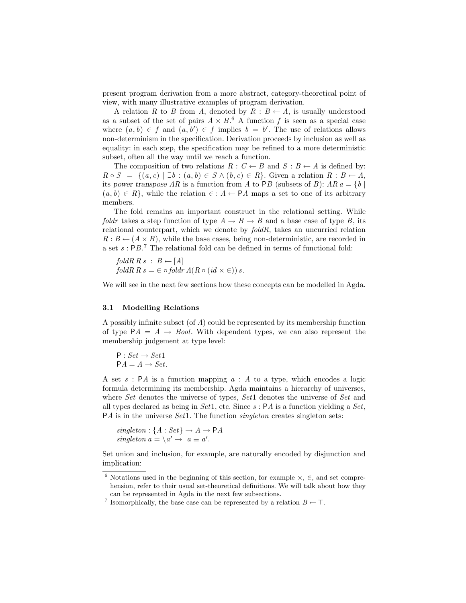present program derivation from a more abstract, category-theoretical point of view, with many illustrative examples of program derivation.

A relation R to B from A, denoted by  $R : B \leftarrow A$ , is usually understood as a subset of the set of pairs  $A \times B$ .<sup>6</sup> A function f is seen as a special case where  $(a, b) \in f$  and  $(a, b') \in f$  implies  $b = b'$ . The use of relations allows non-determinism in the specification. Derivation proceeds by inclusion as well as equality: in each step, the specification may be refined to a more deterministic subset, often all the way until we reach a function.

The composition of two relations  $R : C \leftarrow B$  and  $S : B \leftarrow A$  is defined by:  $R \circ S = \{(a, c) \mid \exists b : (a, b) \in S \land (b, c) \in R\}.$  Given a relation  $R : B \leftarrow A$ , its power transpose  $AR$  is a function from A to PB (subsets of B):  $AR a = \{b \mid$  $(a, b) \in R$ , while the relation  $\in : A \leftarrow PA$  maps a set to one of its arbitrary members.

The fold remains an important construct in the relational setting. While foldr takes a step function of type  $A \to B \to B$  and a base case of type B, its relational counterpart, which we denote by  $foldR$ , takes an uncurried relation  $R : B \leftarrow (A \times B)$ , while the base cases, being non-deterministic, are recorded in a set s : PB. <sup>7</sup> The relational fold can be defined in terms of functional fold:

 $foldR \; R \; s \; : \; B \leftarrow [A]$  $foldR$   $R$   $s = \in \circ \text{foldr}$   $\Lambda(R \circ (id \times \in))$   $s$ .

We will see in the next few sections how these concepts can be modelled in Agda.

#### 3.1 Modelling Relations

A possibly infinite subset (of A) could be represented by its membership function of type  $PA = A \rightarrow Bool$ . With dependent types, we can also represent the membership judgement at type level:

 $P: Set \rightarrow Set1$  $PA = A \rightarrow Set.$ 

A set s: PA is a function mapping  $a : A$  to a type, which encodes a logic formula determining its membership. Agda maintains a hierarchy of universes, where Set denotes the universe of types, Set1 denotes the universe of Set and all types declared as being in Set1, etc. Since  $s : PA$  is a function yielding a Set,  $PA$  is in the universe Set1. The function *singleton* creates singleton sets:

 $singleton: \{A: Set\} \rightarrow A \rightarrow \mathsf{P}A$ singleton  $a = \{a' \rightarrow a \equiv a'$ .

Set union and inclusion, for example, are naturally encoded by disjunction and implication:

<sup>&</sup>lt;sup>6</sup> Notations used in the beginning of this section, for example  $\times$ ,  $\in$ , and set comprehension, refer to their usual set-theoretical definitions. We will talk about how they can be represented in Agda in the next few subsections.

<sup>&</sup>lt;sup>7</sup> Isomorphically, the base case can be represented by a relation  $B \leftarrow \top$ .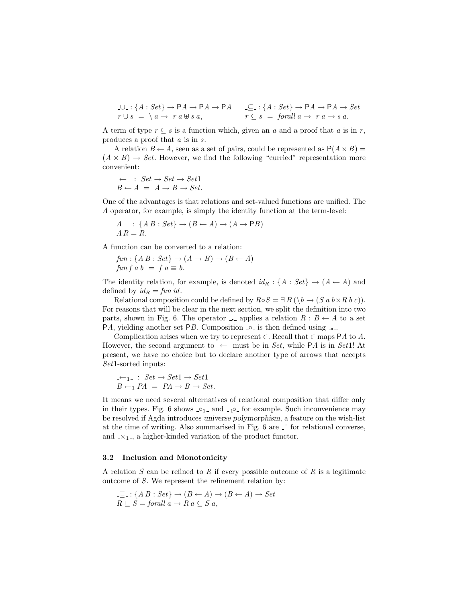$$
\Box \Box : \{ A : Set \} \rightarrow \mathsf{P}A \rightarrow \mathsf{P}A \rightarrow \mathsf{P}A \qquad \underline{\subseteq} : \{ A : Set \} \rightarrow \mathsf{P}A \rightarrow \mathsf{P}A \rightarrow Set
$$
  

$$
r \cup s = \{ a \rightarrow r \ a \oplus s \ a, \qquad r \subseteq s = \text{for all } a \rightarrow r \ a \rightarrow s \ a.
$$

A term of type  $r \subseteq s$  is a function which, given an a and a proof that a is in r, produces a proof that a is in s.

A relation  $B \leftarrow A$ , seen as a set of pairs, could be represented as  $P(A \times B) =$  $(A \times B) \rightarrow Set$ . However, we find the following "curried" representation more convenient:

$$
\angle \leftarrow \bot : Set \rightarrow Set \rightarrow Set1
$$
  

$$
B \leftarrow A = A \rightarrow B \rightarrow Set.
$$

One of the advantages is that relations and set-valued functions are unified. The Λ operator, for example, is simply the identity function at the term-level:

$$
\begin{array}{l}\nA : \{A B : Set\} \rightarrow (B \leftarrow A) \rightarrow (A \rightarrow PB) \\
\Lambda R = R.\n\end{array}
$$

A function can be converted to a relation:

 $fun: \{A B : Set\} \rightarrow (A \rightarrow B) \rightarrow (B \leftarrow A)$  $fun f a b = f a \equiv b.$ 

The identity relation, for example, is denoted  $id_R: \{A : Set\} \rightarrow (A \leftarrow A)$  and defined by  $id_R = \text{fun } id$ .

Relational composition could be defined by  $R \circ S = \exists B (\bigr(\bigr) \rightarrow (S \ a \ b \times R \ b \ c \bigr)).$ For reasons that will be clear in the next section, we split the definition into two parts, shown in Fig. 6. The operator **a** applies a relation  $R : B \leftarrow A$  to a set PA, yielding another set PB. Composition  $\circ$  is then defined using  $\Box$ .

Complication arises when we try to represent  $\in$ . Recall that  $\in$  maps PA to A. However, the second argument to  $\leftarrow$  must be in Set, while PA is in Set1! At present, we have no choice but to declare another type of arrows that accepts Set1-sorted inputs:

$$
\begin{array}{l}\n\mathcal{L}_{-1-} : \, Set \to Set1 \to Set1 \\
B \leftarrow_1 PA \, = \, PA \to B \to Set.\n\end{array}
$$

It means we need several alternatives of relational composition that differ only in their types. Fig. 6 shows  $\lrcorner$   $\circ$ <sub>1</sub> and  $\lrcorner$   $\circ$  for example. Such inconvenience may be resolved if Agda introduces universe polymorphism, a feature on the wish-list at the time of writing. Also summarised in Fig.  $6$  are  $\degree$  for relational converse, and  $x_1$ , a higher-kinded variation of the product functor.

#### 3.2 Inclusion and Monotonicity

A relation  $S$  can be refined to  $R$  if every possible outcome of  $R$  is a legitimate outcome of S. We represent the refinement relation by:

$$
\bot \sqsubseteq .: \{ A \ B : Set \} \to (B \leftarrow A) \to (B \leftarrow A) \to Set
$$
  

$$
R \sqsubseteq S = \text{for all } a \to R \ a \subseteq S \ a,
$$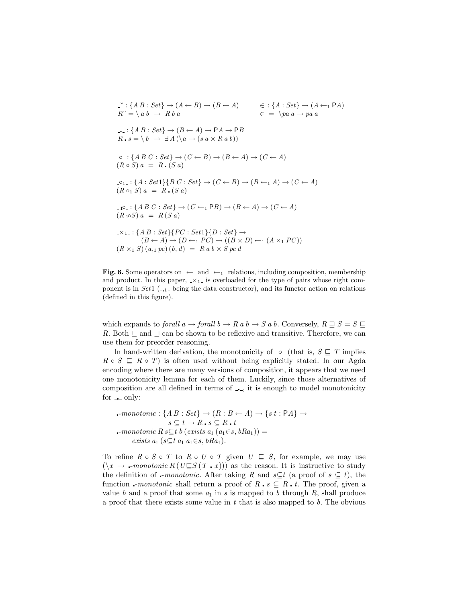$$
\begin{aligned}\n\Box: \{AB : Set\} &\rightarrow (A \leftarrow B) \rightarrow (B \leftarrow A) &\in : \{A : Set\} \rightarrow (A \leftarrow_1 PA) \\
R^{\vee} &= \setminus ab \rightarrow Rba &\in \\
\Box: \{AB : Set\} &\rightarrow (B \leftarrow A) \rightarrow PA \rightarrow PB \\
R \cdot s &= \setminus b \rightarrow \exists A \left(\setminus a \rightarrow (s \ a \times R \ a \ b)\right)\n\end{aligned}
$$
\n
$$
\begin{aligned}\n\Box: \{AB \subset : Set\} &\rightarrow (C \leftarrow B) \rightarrow (B \leftarrow A) \rightarrow (C \leftarrow A) \\
(R \circ S) \ a &= R \cdot (S \ a)\n\end{aligned}
$$
\n
$$
\begin{aligned}\n\Box_1: \{A : Set1\} &\{BC : Set\} \rightarrow (C \leftarrow B) \rightarrow (B \leftarrow A) \rightarrow (C \leftarrow A) \\
(R \circ I) \ a &= R \cdot (S \ a)\n\end{aligned}
$$
\n
$$
\begin{aligned}\n\Box_1: \{A : Set1\} &\{BC : Set\} \rightarrow (C \leftarrow B) \rightarrow (B \leftarrow A) \rightarrow (C \leftarrow A) \\
(R \circ I) \ a &= R \cdot (S \ a)\n\end{aligned}
$$
\n
$$
\begin{aligned}\n\Box_1: \{A \in S : Set\} &\rightarrow (C \leftarrow I \cap PB) \rightarrow (B \leftarrow A) \rightarrow (C \leftarrow A) \\
(R \circ I) \ a &= R \cdot (S \ a)\n\end{aligned}
$$
\n
$$
\begin{aligned}\n\Box_1: \{A \in S : Set\} &\{PC : Set1\} &\{D : Set\} \rightarrow \\
(B \leftarrow A) \rightarrow (D \leftarrow I \ P C) \rightarrow ((B \times D) \leftarrow I \ (A \times I \ P C))\n\end{aligned}
$$

Fig. 6. Some operators on  $\leftarrow$  and  $\leftarrow$  relations, including composition, membership and product. In this paper,  $\langle x_1 \rangle$  is overloaded for the type of pairs whose right component is in Set1  $($ <sub>-1</sub><sub>-</sub> being the data constructor), and its functor action on relations (defined in this figure).

which expands to forall  $a \to \text{for all } b \to R$  a  $b \to S$  a b. Conversely,  $R \sqsupseteq S = S \sqsubseteq$ R. Both  $\sqsubseteq$  and  $\sqsupseteq$  can be shown to be reflexive and transitive. Therefore, we can use them for preorder reasoning.

In hand-written derivation, the monotonicity of  $\text{I}_\text{o}$  (that is,  $S \subseteq T$  implies  $R \circ S \subseteq R \circ T$ ) is often used without being explicitly stated. In our Agda encoding where there are many versions of composition, it appears that we need one monotonicity lemma for each of them. Luckily, since those alternatives of composition are all defined in terms of  $\overline{\phantom{a}}$ , it is enough to model monotonicity for  $\overline{\phantom{a}}$  only:

$$
\begin{aligned}\n\text{-}monotonic: \{ A \ B : Set \} &\rightarrow (R : B \leftarrow A) \rightarrow \{ s \ t : \mathsf{PA} \} \rightarrow \\
& s \subseteq t \rightarrow R \cdot s \subseteq R \cdot t \\
\text{-}monotonic \ R \ s \subseteq t \ b \ (exists \ s \ a_1 \ (a_1 \in s, bRa_1)) = \\
& exists \ a_1 \ (s \subseteq t \ a_1 \ a_1 \in s, bRa_1).\n\end{aligned}
$$

To refine  $R \circ S \circ T$  to  $R \circ U \circ T$  given  $U \subseteq S$ , for example, we may use  $(\forall x \rightarrow \text{\text{-}monotonic } R (U \subseteq S (T \cdot x)))$  as the reason. It is instructive to study the definition of -*monotonic*. After taking R and  $s \subseteq t$  (a proof of  $s \subseteq t$ ), the function -*monotonic* shall return a proof of  $R \cdot s \subseteq R \cdot t$ . The proof, given a value b and a proof that some  $a_1$  in s is mapped to b through R, shall produce a proof that there exists some value in  $t$  that is also mapped to  $b$ . The obvious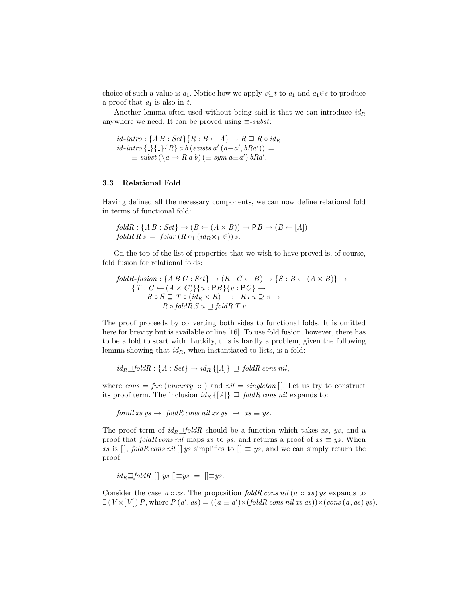choice of such a value is  $a_1$ . Notice how we apply  $s\subseteq t$  to  $a_1$  and  $a_1\in s$  to produce a proof that  $a_1$  is also in  $t$ .

Another lemma often used without being said is that we can introduce  $id_R$ anywhere we need. It can be proved using  $\equiv$ -subst:

 $id\text{-}intro: {AB: Set} {R: B \leftarrow A} \rightarrow R \sqsupseteq R \circ id_R$  $id\text{-}intro \{-\}\{-\} \{R\} \ a \ b \ (exists \text{ } s \ a' \ (a \equiv a', bRa')) =$  $\equiv$ -subst  $(\langle a \rightarrow R a b \rangle) \equiv$ -sym  $a \equiv a'$ ) bRa'.

## 3.3 Relational Fold

Having defined all the necessary components, we can now define relational fold in terms of functional fold:

$$
foldR: \{A B : Set\} \rightarrow (B \leftarrow (A \times B)) \rightarrow PB \rightarrow (B \leftarrow [A])
$$
  

$$
foldR R s = foldr (R o_1 (id_R \times_1 \in)) s.
$$

On the top of the list of properties that we wish to have proved is, of course, fold fusion for relational folds:

$$
foldR\text{-}fusion: \{A \ B \ C : Set\} \rightarrow (R : C \leftarrow B) \rightarrow \{S : B \leftarrow (A \times B)\} \rightarrow
$$

$$
\{T : C \leftarrow (A \times C)\}\{u : PB\}\{v : PC\} \rightarrow
$$

$$
R \circ S \sqsupseteq T \circ (id_R \times R) \rightarrow R \cdot u \supseteq v \rightarrow
$$

$$
R \circ foldR S u \sqsupseteq foldR T v.
$$

The proof proceeds by converting both sides to functional folds. It is omitted here for brevity but is available online [16]. To use fold fusion, however, there has to be a fold to start with. Luckily, this is hardly a problem, given the following lemma showing that  $id_R$ , when instantiated to lists, is a fold:

 $id_R \Box foldR : \{A : Set\} \rightarrow id_R \{[A]\} \Box foldR \text{ cons nil},$ 

where  $cons = fun(numry ::.)$  and  $nil = singleton[$ . Let us try to construct its proof term. The inclusion  $id_R \{[A]\} \supseteq \text{fold } R \text{ cons } nil$  expands to:

forall xs ys  $\rightarrow$  foldR cons nil xs ys  $\rightarrow$  xs  $\equiv$  ys.

The proof term of  $id_R \square foldR$  should be a function which takes xs, ys, and a proof that  $foldR \text{ cons } nil$  maps xs to ys, and returns a proof of  $xs \equiv ys$ . When xs is  $[$ , foldR cons nil  $[$  ys simplifies to  $[$   $] \equiv y_s$ , and we can simply return the proof:

 $id_R \square foldR \mid \mid ys \mid \equiv ys \mid = \parallel \equiv ys.$ 

Consider the case  $a::xs$ . The proposition foldR cons nil  $(a::xs)$  ys expands to  $\exists (V \times [V]) P$ , where  $P(a', as) = ((a \equiv a') \times (fold R \text{ cons nil} \text{ xs } as)) \times (\text{cons } (a, as) \text{ ys}).$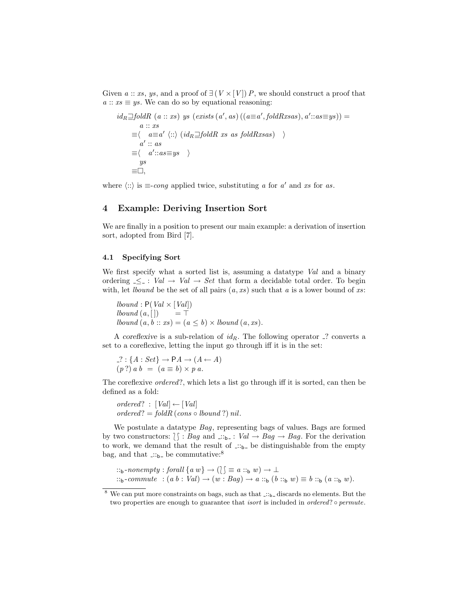Given  $a :: xs, ys, and a proof of  $\exists (V \times [V]) P$ , we should construct a proof that$  $a :: xs \equiv ys$ . We can do so by equational reasoning:

$$
id_R \underline{\Box} foldR \ (a::xs) \ ys \ (exists \ a)((a \equiv a', fold Rxsas), a'::as \equiv ys)) =
$$
  
\n
$$
a::xs
$$
  
\n
$$
\equiv \langle a \equiv a' \ \langle :: \rangle \ (id_R \underline{\Box} fold R \ xs \ as \ fold Rxsas) \ \rangle
$$
  
\n
$$
a'::as
$$
  
\n
$$
\equiv \langle a'::as \equiv ys \ \rangle
$$
  
\n
$$
ys
$$
  
\n
$$
\equiv \Box,
$$

where  $\langle \cdots \rangle$  is  $\equiv$ -cong applied twice, substituting a for a' and xs for as.

# 4 Example: Deriving Insertion Sort

We are finally in a position to present our main example: a derivation of insertion sort, adopted from Bird [7].

## 4.1 Specifying Sort

We first specify what a sorted list is, assuming a datatype Val and a binary ordering  $\leq$  : Val  $\rightarrow$  Val  $\rightarrow$  Set that form a decidable total order. To begin with, let *lbound* be the set of all pairs  $(a, xs)$  such that a is a lower bound of xs:

*lbound* :  $P(Val \times [Val])$  $\textit{lbound}(a, []$  = T *lbound*  $(a, b:: xs) = (a \leq b) \times *lbound*$   $(a, xs)$ *.* 

A coreflexive is a sub-relation of  $id_R$ . The following operator  $\hat{ }$ ? converts a set to a coreflexive, letting the input go through iff it is in the set:

$$
? : \{A : Set\} \to \mathsf{P}A \to (A \leftarrow A)
$$

$$
(p?) \, a \, b = (a \equiv b) \times p \, a.
$$

The coreflexive ordered?, which lets a list go through iff it is sorted, can then be defined as a fold:

 $ordered? : [Val] \leftarrow [Val]$  $ordered? = foldR (cons \circ bound ?) nil.$ 

We postulate a datatype Bag, representing bags of values. Bags are formed by two constructors:  $\{\,\}\colon \text{Bag and } \dots_{b-}: \text{Val} \to \text{Bag} \to \text{Bag}.$  For the derivation to work, we demand that the result of  $\therefore$  be distinguishable from the empty bag, and that  $\therefore$ <sub>b-</sub> be commutative:<sup>8</sup>

```
::<sub>b</sub>-nonempty : forall {a w} \rightarrow (\circ) \equiv a ::_b w) \rightarrow \bot::<sub>b</sub>-commute : (a b : Val) \rightarrow (w : Bag) \rightarrow a ::<sub>b</sub> (b ::<sub>b</sub> w) \equiv b ::<sub>b</sub> (a ::<sub>b</sub> w).
```
 $^8$  We can put more constraints on bags, such as that  $\ldots$ -discards no elements. But the two properties are enough to guarantee that *isort* is included in *ordered*? • permute.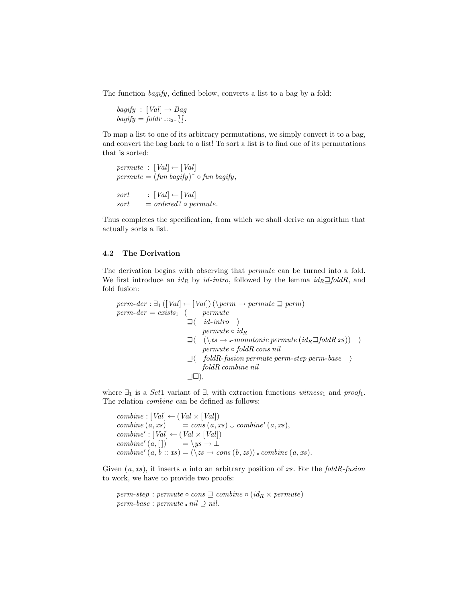The function bagify, defined below, converts a list to a bag by a fold:

 $bagify$  :  $[Val] \rightarrow Bag$  $bagify = foldr ::_{b-} \upharpoonright$ .

To map a list to one of its arbitrary permutations, we simply convert it to a bag, and convert the bag back to a list! To sort a list is to find one of its permutations that is sorted:

```
permute : [Val] \leftarrow [Val]permute = (fun bagify)<sup>\circ</sup> \circ fun bagify,
sort : [Val] \leftarrow [Val]sort = ordered? \circ permute.
```
Thus completes the specification, from which we shall derive an algorithm that actually sorts a list.

#### 4.2 The Derivation

The derivation begins with observing that *permute* can be turned into a fold. We first introduce an  $id_R$  by  $id\text{-}intro$ , followed by the lemma  $id_R \Box foldR$ , and fold fusion:

$$
perm-der : \exists_1 ([Val] \leftarrow [Val]) (\setminus perm \rightarrow permute \sqsupseteq perm)
$$
\n
$$
perm-der = exists_1_{-}(\quad permute
$$
\n
$$
\exists \langle id\text{-intro } \rangle
$$
\n
$$
permute \circ id_R
$$
\n
$$
\exists \langle (\setminus xs \rightarrow \text{-monotonic permute } (id_R \sqsupseteq foldR xs)) \rangle
$$
\n
$$
permute \circ foldR \text{ cons nil}
$$
\n
$$
\exists \langle \quad foldR\text{-fusion permute perm-step perm-base} \rangle
$$
\n
$$
foldR \text{ combine nil}
$$
\n
$$
\exists \Box),
$$

where  $\exists_1$  is a Set1 variant of  $\exists$ , with extraction functions witness<sub>1</sub> and proof<sub>1</sub>. The relation combine can be defined as follows:

 $combine : [Val] \leftarrow (Val \times [Val])$  $combine(a, xs) = cons(a, xs) \cup combine'(a, xs),$  $combine' : [Val] \leftarrow (Val \times [Val])$  $combine'(a, [])$  $= \setminus ys \to \bot$ combine'  $(a, b:: xs) = (\langle zs \rightarrow cons (b, zs))$  combine  $(a, xs)$ .

Given  $(a, xs)$ , it inserts a into an arbitrary position of xs. For the foldR-fusion to work, we have to provide two proofs:

```
perm-step : permute ∘ cons \sqsupseteq combine ∘ (id<sub>R</sub> \times permute)
perm-base : permute \cdot nil \supseteq nil.
```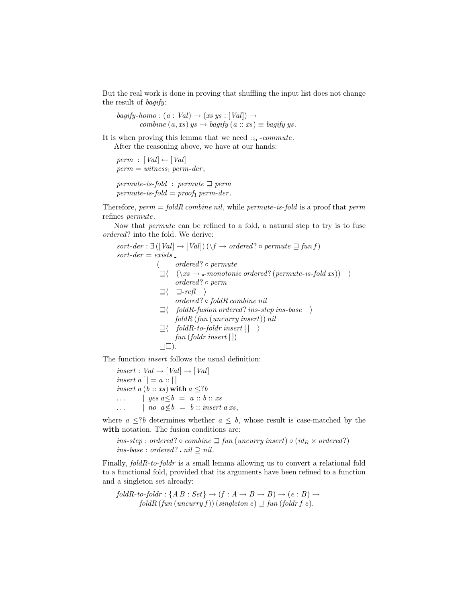But the real work is done in proving that shuffling the input list does not change the result of bagify:

 $bagify-homo : (a : Val) \rightarrow (xs ys : [Val]) \rightarrow$ combine  $(a, xs)$  ys  $\rightarrow$  bagify  $(a :: xs) \equiv$  bagify ys.

It is when proving this lemma that we need  $::<sub>b</sub>$  -commute. After the reasoning above, we have at our hands:

 $perm : [Val] \leftarrow [Val]$  $perm = witness_1 perm-der,$ permute-is-fold : permute  $\supseteq$  perm  $permute-is-fold = proof_1 perm-der.$ 

Therefore,  $perm = foldR$  combine nil, while permute-is-fold is a proof that perm refines permute.

Now that permute can be refined to a fold, a natural step to try is to fuse ordered? into the fold. We derive:

 $sort\text{-}der : \exists ([Val] \rightarrow [Val]) (\setminus f \rightarrow ordered? \circ permute \sqsupseteq funf)$  $sort-der = exists$ ( ordered? ◦ permute  $\exists \langle (\xrightarrow{x} s \rightarrow \text{-monotonic ordered? } (permute-is-fold xs)) \rangle$ ordered? ◦ perm  $\exists \langle \exists \text{--refl } \rangle$ ordered? ◦ foldR combine nil  $\exists \langle \quad \textit{foldR-fusion ordered?} \textit{ins-step ins-base} \quad \rangle$ foldR (fun (uncurry insert)) nil  $\exists \langle \quad foldR\text{-}to\text{-}foldr\ insert[$   $\rangle$  $fun (foldr insert \lceil )$  $\sqsupseteq\square$ ). The function insert follows the usual definition:  $insert : Val \rightarrow [Val] \rightarrow [Val]$ 

insert  $a \mid \mid a :: \mid \mid$ insert a (b :: xs) with  $a \leq ?b$  $\ldots$  | yes  $a \leq b = a :: b :: xs$  $\ldots$  | no  $a \not\leq b = b$  :: insert a xs,

where  $a \leq ?b$  determines whether  $a \leq b$ , whose result is case-matched by the with notation. The fusion conditions are:

ins-step : ordered? ◦ combine  $\supseteq$  fun (uncurry insert) ◦ (id<sub>R</sub> × ordered?) ins-base : ordered?  $nil$  ⊃ nil.

Finally, foldR-to-foldr is a small lemma allowing us to convert a relational fold to a functional fold, provided that its arguments have been refined to a function and a singleton set already:

 $foldR-to-foldr : \{A \mid B : Set\} \rightarrow (f : A \rightarrow B \rightarrow B) \rightarrow (e : B) \rightarrow$  $foldR \, (fun \, (uncarry f)) \, (singleton \, e) \sqsupseteq fun \, (foldr \, f \, e).$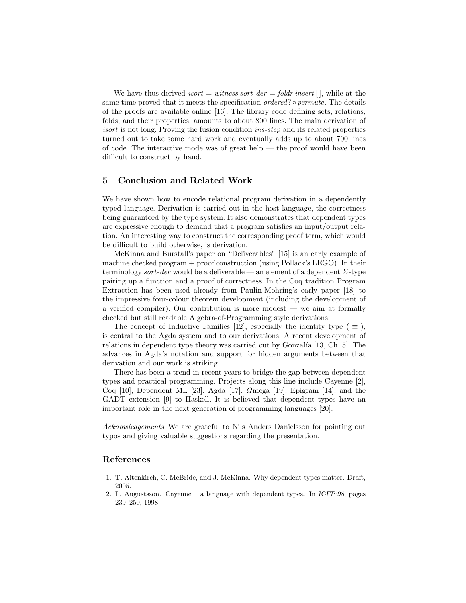We have thus derived *isort = witness sort-der = foldr insert*  $| \cdot |$ , while at the same time proved that it meets the specification *ordered*? • permute. The details of the proofs are available online [16]. The library code defining sets, relations, folds, and their properties, amounts to about 800 lines. The main derivation of isort is not long. Proving the fusion condition ins-step and its related properties turned out to take some hard work and eventually adds up to about 700 lines of code. The interactive mode was of great help — the proof would have been difficult to construct by hand.

# 5 Conclusion and Related Work

We have shown how to encode relational program derivation in a dependently typed language. Derivation is carried out in the host language, the correctness being guaranteed by the type system. It also demonstrates that dependent types are expressive enough to demand that a program satisfies an input/output relation. An interesting way to construct the corresponding proof term, which would be difficult to build otherwise, is derivation.

McKinna and Burstall's paper on "Deliverables" [15] is an early example of machine checked program + proof construction (using Pollack's LEGO). In their terminology sort-der would be a deliverable — an element of a dependent  $\Sigma$ -type pairing up a function and a proof of correctness. In the Coq tradition Program Extraction has been used already from Paulin-Mohring's early paper [18] to the impressive four-colour theorem development (including the development of a verified compiler). Our contribution is more modest — we aim at formally checked but still readable Algebra-of-Programming style derivations.

The concept of Inductive Families [12], especially the identity type  $(equiv)$ , is central to the Agda system and to our derivations. A recent development of relations in dependent type theory was carried out by Gonzalía  $[13, Ch. 5]$ . The advances in Agda's notation and support for hidden arguments between that derivation and our work is striking.

There has been a trend in recent years to bridge the gap between dependent types and practical programming. Projects along this line include Cayenne [2], Coq [10], Dependent ML [23], Agda [17],  $\Omega$ mega [19], Epigram [14], and the GADT extension [9] to Haskell. It is believed that dependent types have an important role in the next generation of programming languages [20].

Acknowledgements We are grateful to Nils Anders Danielsson for pointing out typos and giving valuable suggestions regarding the presentation.

# References

- 1. T. Altenkirch, C. McBride, and J. McKinna. Why dependent types matter. Draft, 2005.
- 2. L. Augustsson. Cayenne a language with dependent types. In ICFP'98, pages 239–250, 1998.